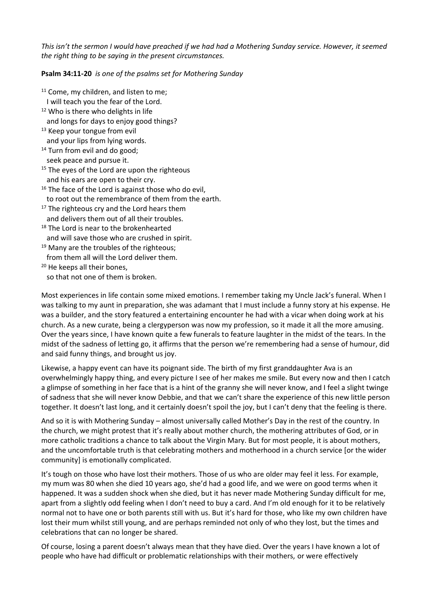*This isn't the sermon I would have preached if we had had a Mothering Sunday service. However, it seemed the right thing to be saying in the present circumstances.*

**Psalm 34:11-20** *is one of the psalms set for Mothering Sunday*

- <sup>11</sup> Come, my children, and listen to me; I will teach you the fear of the Lord. <sup>12</sup> Who is there who delights in life and longs for days to enjoy good things? <sup>13</sup> Keep your tongue from evil and your lips from lying words. <sup>14</sup> Turn from evil and do good; seek peace and pursue it. <sup>15</sup> The eyes of the Lord are upon the righteous
- and his ears are open to their cry.
- <sup>16</sup> The face of the Lord is against those who do evil, to root out the remembrance of them from the earth.
- $17$  The righteous cry and the Lord hears them and delivers them out of all their troubles.
- <sup>18</sup> The Lord is near to the brokenhearted and will save those who are crushed in spirit.
- <sup>19</sup> Many are the troubles of the righteous;
- from them all will the Lord deliver them.
- <sup>20</sup> He keeps all their bones, so that not one of them is broken.

Most experiences in life contain some mixed emotions. I remember taking my Uncle Jack's funeral. When I was talking to my aunt in preparation, she was adamant that I must include a funny story at his expense. He was a builder, and the story featured a entertaining encounter he had with a vicar when doing work at his church. As a new curate, being a clergyperson was now my profession, so it made it all the more amusing. Over the years since, I have known quite a few funerals to feature laughter in the midst of the tears. In the midst of the sadness of letting go, it affirms that the person we're remembering had a sense of humour, did and said funny things, and brought us joy.

Likewise, a happy event can have its poignant side. The birth of my first granddaughter Ava is an overwhelmingly happy thing, and every picture I see of her makes me smile. But every now and then I catch a glimpse of something in her face that is a hint of the granny she will never know, and I feel a slight twinge of sadness that she will never know Debbie, and that we can't share the experience of this new little person together. It doesn't last long, and it certainly doesn't spoil the joy, but I can't deny that the feeling is there.

And so it is with Mothering Sunday – almost universally called Mother's Day in the rest of the country. In the church, we might protest that it's really about mother church, the mothering attributes of God, or in more catholic traditions a chance to talk about the Virgin Mary. But for most people, it is about mothers, and the uncomfortable truth is that celebrating mothers and motherhood in a church service [or the wider community] is emotionally complicated.

It's tough on those who have lost their mothers. Those of us who are older may feel it less. For example, my mum was 80 when she died 10 years ago, she'd had a good life, and we were on good terms when it happened. It was a sudden shock when she died, but it has never made Mothering Sunday difficult for me, apart from a slightly odd feeling when I don't need to buy a card. And I'm old enough for it to be relatively normal not to have one or both parents still with us. But it's hard for those, who like my own children have lost their mum whilst still young, and are perhaps reminded not only of who they lost, but the times and celebrations that can no longer be shared.

Of course, losing a parent doesn't always mean that they have died. Over the years I have known a lot of people who have had difficult or problematic relationships with their mothers, or were effectively